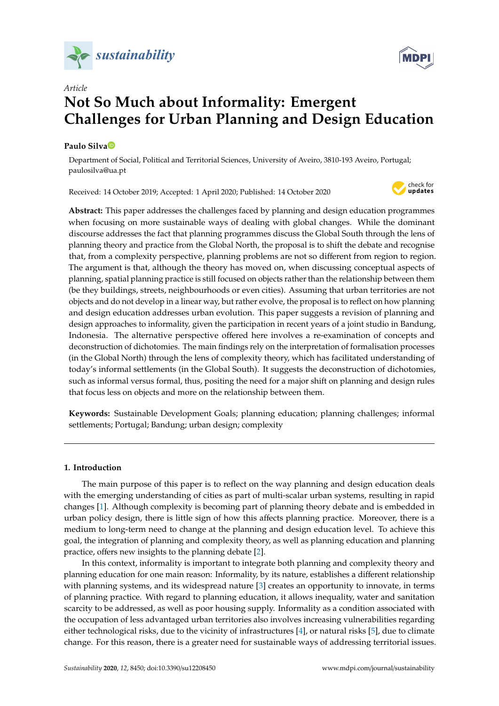

# *Article* **Not So Much about Informality: Emergent Challenges for Urban Planning and Design Education**

## **Paulo Silv[a](https://orcid.org/0000-0002-6370-3729)**

Department of Social, Political and Territorial Sciences, University of Aveiro, 3810-193 Aveiro, Portugal; paulosilva@ua.pt

Received: 14 October 2019; Accepted: 1 April 2020; Published: 14 October 2020



**Abstract:** This paper addresses the challenges faced by planning and design education programmes when focusing on more sustainable ways of dealing with global changes. While the dominant discourse addresses the fact that planning programmes discuss the Global South through the lens of planning theory and practice from the Global North, the proposal is to shift the debate and recognise that, from a complexity perspective, planning problems are not so different from region to region. The argument is that, although the theory has moved on, when discussing conceptual aspects of planning, spatial planning practice is still focused on objects rather than the relationship between them (be they buildings, streets, neighbourhoods or even cities). Assuming that urban territories are not objects and do not develop in a linear way, but rather evolve, the proposal is to reflect on how planning and design education addresses urban evolution. This paper suggests a revision of planning and design approaches to informality, given the participation in recent years of a joint studio in Bandung, Indonesia. The alternative perspective offered here involves a re-examination of concepts and deconstruction of dichotomies. The main findings rely on the interpretation of formalisation processes (in the Global North) through the lens of complexity theory, which has facilitated understanding of today's informal settlements (in the Global South). It suggests the deconstruction of dichotomies, such as informal versus formal, thus, positing the need for a major shift on planning and design rules that focus less on objects and more on the relationship between them.

**Keywords:** Sustainable Development Goals; planning education; planning challenges; informal settlements; Portugal; Bandung; urban design; complexity

## **1. Introduction**

The main purpose of this paper is to reflect on the way planning and design education deals with the emerging understanding of cities as part of multi-scalar urban systems, resulting in rapid changes [\[1\]](#page-12-0). Although complexity is becoming part of planning theory debate and is embedded in urban policy design, there is little sign of how this affects planning practice. Moreover, there is a medium to long-term need to change at the planning and design education level. To achieve this goal, the integration of planning and complexity theory, as well as planning education and planning practice, offers new insights to the planning debate [\[2\]](#page-12-1).

In this context, informality is important to integrate both planning and complexity theory and planning education for one main reason: Informality, by its nature, establishes a different relationship with planning systems, and its widespread nature [\[3\]](#page-12-2) creates an opportunity to innovate, in terms of planning practice. With regard to planning education, it allows inequality, water and sanitation scarcity to be addressed, as well as poor housing supply. Informality as a condition associated with the occupation of less advantaged urban territories also involves increasing vulnerabilities regarding either technological risks, due to the vicinity of infrastructures [\[4\]](#page-12-3), or natural risks [\[5\]](#page-12-4), due to climate change. For this reason, there is a greater need for sustainable ways of addressing territorial issues.

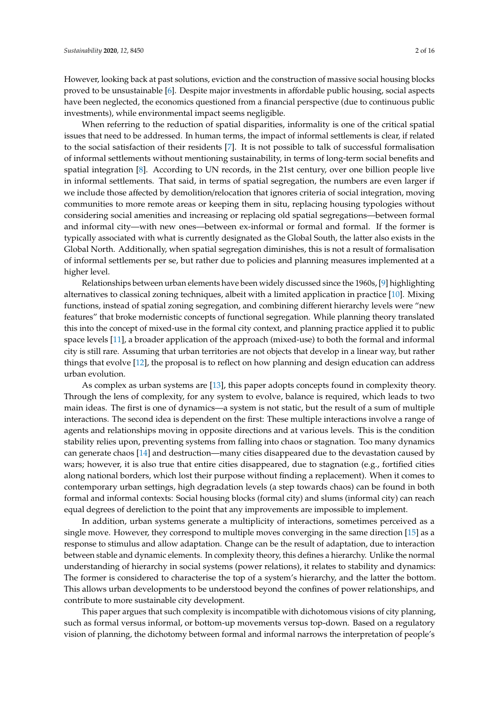However, looking back at past solutions, eviction and the construction of massive social housing blocks proved to be unsustainable [\[6\]](#page-12-5). Despite major investments in affordable public housing, social aspects have been neglected, the economics questioned from a financial perspective (due to continuous public investments), while environmental impact seems negligible.

When referring to the reduction of spatial disparities, informality is one of the critical spatial issues that need to be addressed. In human terms, the impact of informal settlements is clear, if related to the social satisfaction of their residents [\[7\]](#page-12-6). It is not possible to talk of successful formalisation of informal settlements without mentioning sustainability, in terms of long-term social benefits and spatial integration [\[8\]](#page-12-7). According to UN records, in the 21st century, over one billion people live in informal settlements. That said, in terms of spatial segregation, the numbers are even larger if we include those affected by demolition/relocation that ignores criteria of social integration, moving communities to more remote areas or keeping them in situ, replacing housing typologies without considering social amenities and increasing or replacing old spatial segregations—between formal and informal city—with new ones—between ex-informal or formal and formal. If the former is typically associated with what is currently designated as the Global South, the latter also exists in the Global North. Additionally, when spatial segregation diminishes, this is not a result of formalisation of informal settlements per se, but rather due to policies and planning measures implemented at a higher level.

Relationships between urban elements have been widely discussed since the 1960s, [\[9\]](#page-12-8) highlighting alternatives to classical zoning techniques, albeit with a limited application in practice [\[10\]](#page-12-9). Mixing functions, instead of spatial zoning segregation, and combining different hierarchy levels were "new features" that broke modernistic concepts of functional segregation. While planning theory translated this into the concept of mixed-use in the formal city context, and planning practice applied it to public space levels [\[11\]](#page-12-10), a broader application of the approach (mixed-use) to both the formal and informal city is still rare. Assuming that urban territories are not objects that develop in a linear way, but rather things that evolve [\[12\]](#page-12-11), the proposal is to reflect on how planning and design education can address urban evolution.

As complex as urban systems are [\[13\]](#page-13-0), this paper adopts concepts found in complexity theory. Through the lens of complexity, for any system to evolve, balance is required, which leads to two main ideas. The first is one of dynamics—a system is not static, but the result of a sum of multiple interactions. The second idea is dependent on the first: These multiple interactions involve a range of agents and relationships moving in opposite directions and at various levels. This is the condition stability relies upon, preventing systems from falling into chaos or stagnation. Too many dynamics can generate chaos [\[14\]](#page-13-1) and destruction—many cities disappeared due to the devastation caused by wars; however, it is also true that entire cities disappeared, due to stagnation (e.g., fortified cities along national borders, which lost their purpose without finding a replacement). When it comes to contemporary urban settings, high degradation levels (a step towards chaos) can be found in both formal and informal contexts: Social housing blocks (formal city) and slums (informal city) can reach equal degrees of dereliction to the point that any improvements are impossible to implement.

In addition, urban systems generate a multiplicity of interactions, sometimes perceived as a single move. However, they correspond to multiple moves converging in the same direction [\[15\]](#page-13-2) as a response to stimulus and allow adaptation. Change can be the result of adaptation, due to interaction between stable and dynamic elements. In complexity theory, this defines a hierarchy. Unlike the normal understanding of hierarchy in social systems (power relations), it relates to stability and dynamics: The former is considered to characterise the top of a system's hierarchy, and the latter the bottom. This allows urban developments to be understood beyond the confines of power relationships, and contribute to more sustainable city development.

This paper argues that such complexity is incompatible with dichotomous visions of city planning, such as formal versus informal, or bottom-up movements versus top-down. Based on a regulatory vision of planning, the dichotomy between formal and informal narrows the interpretation of people's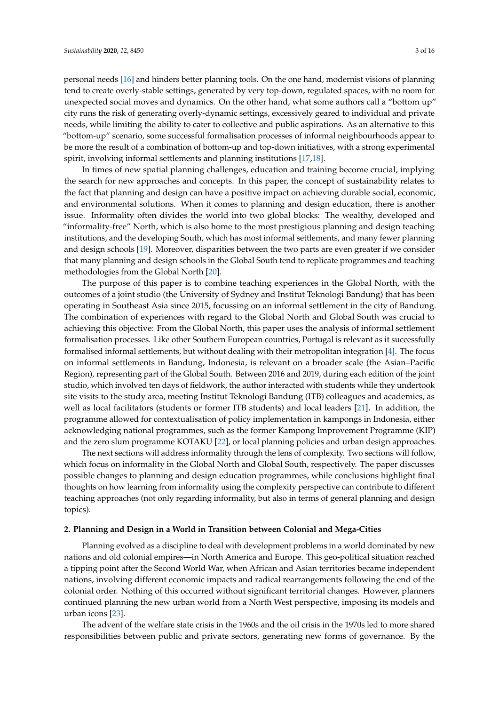personal needs [\[16\]](#page-13-3) and hinders better planning tools. On the one hand, modernist visions of planning tend to create overly-stable settings, generated by very top-down, regulated spaces, with no room for unexpected social moves and dynamics. On the other hand, what some authors call a "bottom up" city runs the risk of generating overly-dynamic settings, excessively geared to individual and private needs, while limiting the ability to cater to collective and public aspirations. As an alternative to this "bottom-up" scenario, some successful formalisation processes of informal neighbourhoods appear to be more the result of a combination of bottom-up and top-down initiatives, with a strong experimental spirit, involving informal settlements and planning institutions [\[17,](#page-13-4)[18\]](#page-13-5).

In times of new spatial planning challenges, education and training become crucial, implying the search for new approaches and concepts. In this paper, the concept of sustainability relates to the fact that planning and design can have a positive impact on achieving durable social, economic, and environmental solutions. When it comes to planning and design education, there is another issue. Informality often divides the world into two global blocks: The wealthy, developed and "informality-free" North, which is also home to the most prestigious planning and design teaching institutions, and the developing South, which has most informal settlements, and many fewer planning and design schools [\[19\]](#page-13-6). Moreover, disparities between the two parts are even greater if we consider that many planning and design schools in the Global South tend to replicate programmes and teaching methodologies from the Global North [\[20\]](#page-13-7).

The purpose of this paper is to combine teaching experiences in the Global North, with the outcomes of a joint studio (the University of Sydney and Institut Teknologi Bandung) that has been operating in Southeast Asia since 2015, focussing on an informal settlement in the city of Bandung. The combination of experiences with regard to the Global North and Global South was crucial to achieving this objective: From the Global North, this paper uses the analysis of informal settlement formalisation processes. Like other Southern European countries, Portugal is relevant as it successfully formalised informal settlements, but without dealing with their metropolitan integration [\[4\]](#page-12-3). The focus on informal settlements in Bandung, Indonesia, is relevant on a broader scale (the Asian–Pacific Region), representing part of the Global South. Between 2016 and 2019, during each edition of the joint studio, which involved ten days of fieldwork, the author interacted with students while they undertook site visits to the study area, meeting Institut Teknologi Bandung (ITB) colleagues and academics, as well as local facilitators (students or former ITB students) and local leaders [\[21\]](#page-13-8). In addition, the programme allowed for contextualisation of policy implementation in kampongs in Indonesia, either acknowledging national programmes, such as the former Kampong Improvement Programme (KIP) and the zero slum programme KOTAKU [\[22\]](#page-13-9), or local planning policies and urban design approaches.

The next sections will address informality through the lens of complexity. Two sections will follow, which focus on informality in the Global North and Global South, respectively. The paper discusses possible changes to planning and design education programmes, while conclusions highlight final thoughts on how learning from informality using the complexity perspective can contribute to different teaching approaches (not only regarding informality, but also in terms of general planning and design topics).

## **2. Planning and Design in a World in Transition between Colonial and Mega-Cities**

Planning evolved as a discipline to deal with development problems in a world dominated by new nations and old colonial empires—in North America and Europe. This geo-political situation reached a tipping point after the Second World War, when African and Asian territories became independent nations, involving different economic impacts and radical rearrangements following the end of the colonial order. Nothing of this occurred without significant territorial changes. However, planners continued planning the new urban world from a North West perspective, imposing its models and urban icons [\[23\]](#page-13-10).

The advent of the welfare state crisis in the 1960s and the oil crisis in the 1970s led to more shared responsibilities between public and private sectors, generating new forms of governance. By the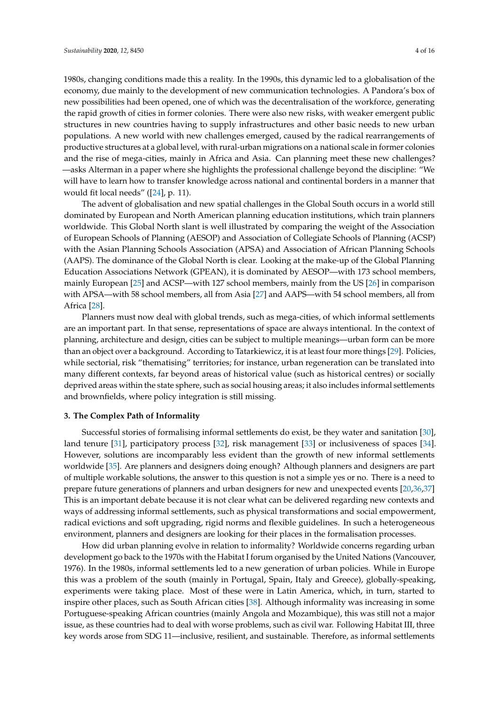1980s, changing conditions made this a reality. In the 1990s, this dynamic led to a globalisation of the economy, due mainly to the development of new communication technologies. A Pandora's box of new possibilities had been opened, one of which was the decentralisation of the workforce, generating the rapid growth of cities in former colonies. There were also new risks, with weaker emergent public structures in new countries having to supply infrastructures and other basic needs to new urban populations. A new world with new challenges emerged, caused by the radical rearrangements of productive structures at a global level, with rural-urban migrations on a national scale in former colonies and the rise of mega-cities, mainly in Africa and Asia. Can planning meet these new challenges? —asks Alterman in a paper where she highlights the professional challenge beyond the discipline: "We will have to learn how to transfer knowledge across national and continental borders in a manner that would fit local needs" ([\[24\]](#page-13-11), p. 11).

The advent of globalisation and new spatial challenges in the Global South occurs in a world still dominated by European and North American planning education institutions, which train planners worldwide. This Global North slant is well illustrated by comparing the weight of the Association of European Schools of Planning (AESOP) and Association of Collegiate Schools of Planning (ACSP) with the Asian Planning Schools Association (APSA) and Association of African Planning Schools (AAPS). The dominance of the Global North is clear. Looking at the make-up of the Global Planning Education Associations Network (GPEAN), it is dominated by AESOP—with 173 school members, mainly European [\[25\]](#page-13-12) and ACSP—with 127 school members, mainly from the US [\[26\]](#page-13-13) in comparison with APSA—with 58 school members, all from Asia [\[27\]](#page-13-14) and AAPS—with 54 school members, all from Africa [\[28\]](#page-13-15).

Planners must now deal with global trends, such as mega-cities, of which informal settlements are an important part. In that sense, representations of space are always intentional. In the context of planning, architecture and design, cities can be subject to multiple meanings—urban form can be more than an object over a background. According to Tatarkiewicz, it is at least four more things [\[29\]](#page-13-16). Policies, while sectorial, risk "thematising" territories; for instance, urban regeneration can be translated into many different contexts, far beyond areas of historical value (such as historical centres) or socially deprived areas within the state sphere, such as social housing areas; it also includes informal settlements and brownfields, where policy integration is still missing.

## **3. The Complex Path of Informality**

Successful stories of formalising informal settlements do exist, be they water and sanitation [\[30\]](#page-13-17), land tenure [\[31\]](#page-13-18), participatory process [\[32\]](#page-13-19), risk management [\[33\]](#page-13-20) or inclusiveness of spaces [\[34\]](#page-13-21). However, solutions are incomparably less evident than the growth of new informal settlements worldwide [\[35\]](#page-13-22). Are planners and designers doing enough? Although planners and designers are part of multiple workable solutions, the answer to this question is not a simple yes or no. There is a need to prepare future generations of planners and urban designers for new and unexpected events [\[20,](#page-13-7)[36](#page-13-23)[,37\]](#page-13-24) This is an important debate because it is not clear what can be delivered regarding new contexts and ways of addressing informal settlements, such as physical transformations and social empowerment, radical evictions and soft upgrading, rigid norms and flexible guidelines. In such a heterogeneous environment, planners and designers are looking for their places in the formalisation processes.

How did urban planning evolve in relation to informality? Worldwide concerns regarding urban development go back to the 1970s with the Habitat I forum organised by the United Nations (Vancouver, 1976). In the 1980s, informal settlements led to a new generation of urban policies. While in Europe this was a problem of the south (mainly in Portugal, Spain, Italy and Greece), globally-speaking, experiments were taking place. Most of these were in Latin America, which, in turn, started to inspire other places, such as South African cities [\[38\]](#page-13-25). Although informality was increasing in some Portuguese-speaking African countries (mainly Angola and Mozambique), this was still not a major issue, as these countries had to deal with worse problems, such as civil war. Following Habitat III, three key words arose from SDG 11—inclusive, resilient, and sustainable. Therefore, as informal settlements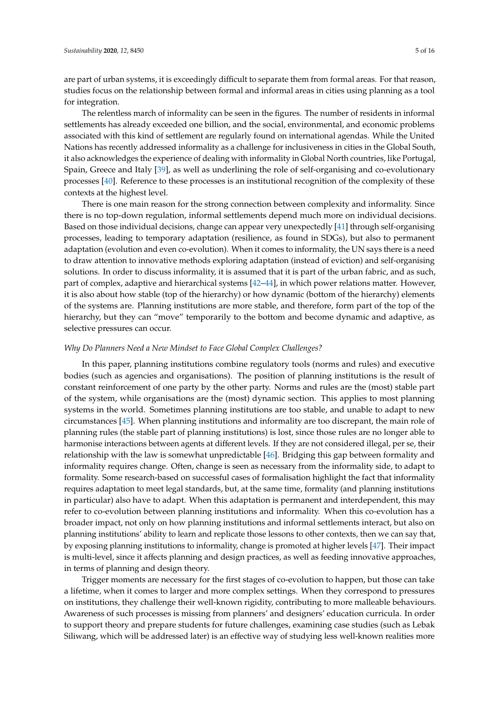are part of urban systems, it is exceedingly difficult to separate them from formal areas. For that reason, studies focus on the relationship between formal and informal areas in cities using planning as a tool for integration.

The relentless march of informality can be seen in the figures. The number of residents in informal settlements has already exceeded one billion, and the social, environmental, and economic problems associated with this kind of settlement are regularly found on international agendas. While the United Nations has recently addressed informality as a challenge for inclusiveness in cities in the Global South, it also acknowledges the experience of dealing with informality in Global North countries, like Portugal, Spain, Greece and Italy [\[39\]](#page-14-0), as well as underlining the role of self-organising and co-evolutionary processes [\[40\]](#page-14-1). Reference to these processes is an institutional recognition of the complexity of these contexts at the highest level.

There is one main reason for the strong connection between complexity and informality. Since there is no top-down regulation, informal settlements depend much more on individual decisions. Based on those individual decisions, change can appear very unexpectedly [\[41\]](#page-14-2) through self-organising processes, leading to temporary adaptation (resilience, as found in SDGs), but also to permanent adaptation (evolution and even co-evolution). When it comes to informality, the UN says there is a need to draw attention to innovative methods exploring adaptation (instead of eviction) and self-organising solutions. In order to discuss informality, it is assumed that it is part of the urban fabric, and as such, part of complex, adaptive and hierarchical systems [\[42](#page-14-3)[–44\]](#page-14-4), in which power relations matter. However, it is also about how stable (top of the hierarchy) or how dynamic (bottom of the hierarchy) elements of the systems are. Planning institutions are more stable, and therefore, form part of the top of the hierarchy, but they can "move" temporarily to the bottom and become dynamic and adaptive, as selective pressures can occur.

#### *Why Do Planners Need a New Mindset to Face Global Complex Challenges?*

In this paper, planning institutions combine regulatory tools (norms and rules) and executive bodies (such as agencies and organisations). The position of planning institutions is the result of constant reinforcement of one party by the other party. Norms and rules are the (most) stable part of the system, while organisations are the (most) dynamic section. This applies to most planning systems in the world. Sometimes planning institutions are too stable, and unable to adapt to new circumstances [\[45\]](#page-14-5). When planning institutions and informality are too discrepant, the main role of planning rules (the stable part of planning institutions) is lost, since those rules are no longer able to harmonise interactions between agents at different levels. If they are not considered illegal, per se, their relationship with the law is somewhat unpredictable [\[46\]](#page-14-6). Bridging this gap between formality and informality requires change. Often, change is seen as necessary from the informality side, to adapt to formality. Some research-based on successful cases of formalisation highlight the fact that informality requires adaptation to meet legal standards, but, at the same time, formality (and planning institutions in particular) also have to adapt. When this adaptation is permanent and interdependent, this may refer to co-evolution between planning institutions and informality. When this co-evolution has a broader impact, not only on how planning institutions and informal settlements interact, but also on planning institutions' ability to learn and replicate those lessons to other contexts, then we can say that, by exposing planning institutions to informality, change is promoted at higher levels [\[47\]](#page-14-7). Their impact is multi-level, since it affects planning and design practices, as well as feeding innovative approaches, in terms of planning and design theory.

Trigger moments are necessary for the first stages of co-evolution to happen, but those can take a lifetime, when it comes to larger and more complex settings. When they correspond to pressures on institutions, they challenge their well-known rigidity, contributing to more malleable behaviours. Awareness of such processes is missing from planners' and designers' education curricula. In order to support theory and prepare students for future challenges, examining case studies (such as Lebak Siliwang, which will be addressed later) is an effective way of studying less well-known realities more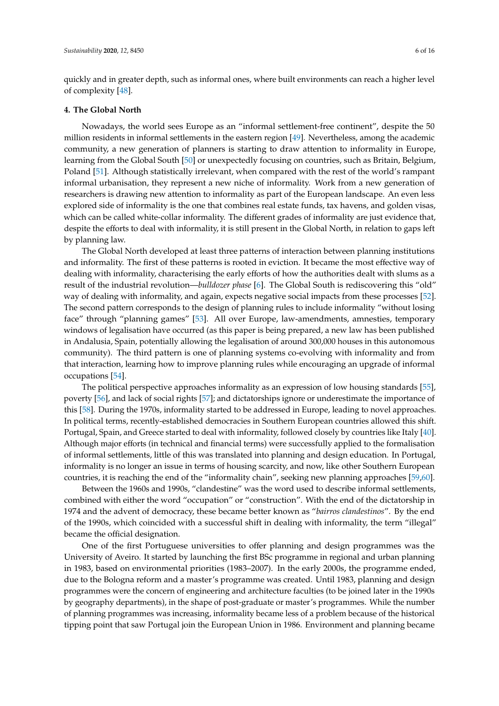quickly and in greater depth, such as informal ones, where built environments can reach a higher level of complexity [\[48\]](#page-14-8).

## **4. The Global North**

Nowadays, the world sees Europe as an "informal settlement-free continent", despite the 50 million residents in informal settlements in the eastern region [\[49\]](#page-14-9). Nevertheless, among the academic community, a new generation of planners is starting to draw attention to informality in Europe, learning from the Global South [\[50\]](#page-14-10) or unexpectedly focusing on countries, such as Britain, Belgium, Poland [\[51\]](#page-14-11). Although statistically irrelevant, when compared with the rest of the world's rampant informal urbanisation, they represent a new niche of informality. Work from a new generation of researchers is drawing new attention to informality as part of the European landscape. An even less explored side of informality is the one that combines real estate funds, tax havens, and golden visas, which can be called white-collar informality. The different grades of informality are just evidence that, despite the efforts to deal with informality, it is still present in the Global North, in relation to gaps left by planning law.

The Global North developed at least three patterns of interaction between planning institutions and informality. The first of these patterns is rooted in eviction. It became the most effective way of dealing with informality, characterising the early efforts of how the authorities dealt with slums as a result of the industrial revolution—*bulldozer phase* [\[6\]](#page-12-5). The Global South is rediscovering this "old" way of dealing with informality, and again, expects negative social impacts from these processes [\[52\]](#page-14-12). The second pattern corresponds to the design of planning rules to include informality "without losing face" through "planning games" [\[53\]](#page-14-13). All over Europe, law-amendments, amnesties, temporary windows of legalisation have occurred (as this paper is being prepared, a new law has been published in Andalusia, Spain, potentially allowing the legalisation of around 300,000 houses in this autonomous community). The third pattern is one of planning systems co-evolving with informality and from that interaction, learning how to improve planning rules while encouraging an upgrade of informal occupations [\[54\]](#page-14-14).

The political perspective approaches informality as an expression of low housing standards [\[55\]](#page-14-15), poverty [\[56\]](#page-14-16), and lack of social rights [\[57\]](#page-14-17); and dictatorships ignore or underestimate the importance of this [\[58\]](#page-14-18). During the 1970s, informality started to be addressed in Europe, leading to novel approaches. In political terms, recently-established democracies in Southern European countries allowed this shift. Portugal, Spain, and Greece started to deal with informality, followed closely by countries like Italy [\[40\]](#page-14-1). Although major efforts (in technical and financial terms) were successfully applied to the formalisation of informal settlements, little of this was translated into planning and design education. In Portugal, informality is no longer an issue in terms of housing scarcity, and now, like other Southern European countries, it is reaching the end of the "informality chain", seeking new planning approaches [\[59](#page-14-19)[,60\]](#page-14-20).

Between the 1960s and 1990s, "clandestine" was the word used to describe informal settlements, combined with either the word "occupation" or "construction". With the end of the dictatorship in 1974 and the advent of democracy, these became better known as "*bairros clandestinos*". By the end of the 1990s, which coincided with a successful shift in dealing with informality, the term "illegal" became the official designation.

One of the first Portuguese universities to offer planning and design programmes was the University of Aveiro. It started by launching the first BSc programme in regional and urban planning in 1983, based on environmental priorities (1983–2007). In the early 2000s, the programme ended, due to the Bologna reform and a master's programme was created. Until 1983, planning and design programmes were the concern of engineering and architecture faculties (to be joined later in the 1990s by geography departments), in the shape of post-graduate or master's programmes. While the number of planning programmes was increasing, informality became less of a problem because of the historical tipping point that saw Portugal join the European Union in 1986. Environment and planning became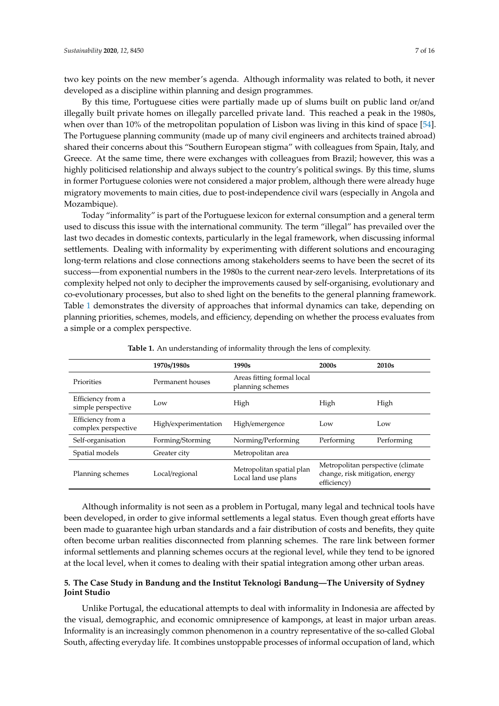two key points on the new member's agenda. Although informality was related to both, it never developed as a discipline within planning and design programmes.

By this time, Portuguese cities were partially made up of slums built on public land or/and illegally built private homes on illegally parcelled private land. This reached a peak in the 1980s, when over than 10% of the metropolitan population of Lisbon was living in this kind of space [\[54\]](#page-14-14). The Portuguese planning community (made up of many civil engineers and architects trained abroad) shared their concerns about this "Southern European stigma" with colleagues from Spain, Italy, and Greece. At the same time, there were exchanges with colleagues from Brazil; however, this was a highly politicised relationship and always subject to the country's political swings. By this time, slums in former Portuguese colonies were not considered a major problem, although there were already huge migratory movements to main cities, due to post-independence civil wars (especially in Angola and Mozambique).

Today "informality" is part of the Portuguese lexicon for external consumption and a general term used to discuss this issue with the international community. The term "illegal" has prevailed over the last two decades in domestic contexts, particularly in the legal framework, when discussing informal settlements. Dealing with informality by experimenting with different solutions and encouraging long-term relations and close connections among stakeholders seems to have been the secret of its success—from exponential numbers in the 1980s to the current near-zero levels. Interpretations of its complexity helped not only to decipher the improvements caused by self-organising, evolutionary and co-evolutionary processes, but also to shed light on the benefits to the general planning framework. Table [1](#page-6-0) demonstrates the diversity of approaches that informal dynamics can take, depending on planning priorities, schemes, models, and efficiency, depending on whether the process evaluates from a simple or a complex perspective.

<span id="page-6-0"></span>

|                                          | 1970s/1980s          | 1990s                                             | 2000 <sub>s</sub>                                                                   | 2010 <sub>s</sub> |
|------------------------------------------|----------------------|---------------------------------------------------|-------------------------------------------------------------------------------------|-------------------|
| Priorities                               | Permanent houses     | Areas fitting formal local<br>planning schemes    |                                                                                     |                   |
| Efficiency from a<br>simple perspective  | Low                  | High                                              | High                                                                                | High              |
| Efficiency from a<br>complex perspective | High/experimentation | High/emergence                                    | Low                                                                                 | Low               |
| Self-organisation                        | Forming/Storming     | Norming/Performing                                | Performing                                                                          | Performing        |
| Spatial models                           | Greater city         | Metropolitan area                                 |                                                                                     |                   |
| Planning schemes                         | Local/regional       | Metropolitan spatial plan<br>Local land use plans | Metropolitan perspective (climate<br>change, risk mitigation, energy<br>efficiency) |                   |

**Table 1.** An understanding of informality through the lens of complexity.

Although informality is not seen as a problem in Portugal, many legal and technical tools have been developed, in order to give informal settlements a legal status. Even though great efforts have been made to guarantee high urban standards and a fair distribution of costs and benefits, they quite often become urban realities disconnected from planning schemes. The rare link between former informal settlements and planning schemes occurs at the regional level, while they tend to be ignored at the local level, when it comes to dealing with their spatial integration among other urban areas.

## **5. The Case Study in Bandung and the Institut Teknologi Bandung—The University of Sydney Joint Studio**

Unlike Portugal, the educational attempts to deal with informality in Indonesia are affected by the visual, demographic, and economic omnipresence of kampongs, at least in major urban areas. Informality is an increasingly common phenomenon in a country representative of the so-called Global South, affecting everyday life. It combines unstoppable processes of informal occupation of land, which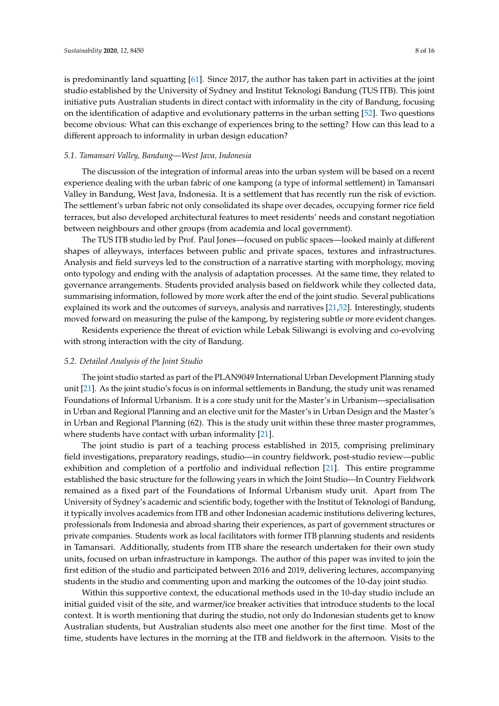is predominantly land squatting [\[61\]](#page-14-21). Since 2017, the author has taken part in activities at the joint studio established by the University of Sydney and Institut Teknologi Bandung (TUS ITB). This joint initiative puts Australian students in direct contact with informality in the city of Bandung, focusing on the identification of adaptive and evolutionary patterns in the urban setting [\[52\]](#page-14-12). Two questions become obvious: What can this exchange of experiences bring to the setting? How can this lead to a different approach to informality in urban design education?

#### *5.1. Tamansari Valley, Bandung—West Java, Indonesia*

The discussion of the integration of informal areas into the urban system will be based on a recent experience dealing with the urban fabric of one kampong (a type of informal settlement) in Tamansari Valley in Bandung, West Java, Indonesia. It is a settlement that has recently run the risk of eviction. The settlement's urban fabric not only consolidated its shape over decades, occupying former rice field terraces, but also developed architectural features to meet residents' needs and constant negotiation between neighbours and other groups (from academia and local government).

The TUS ITB studio led by Prof. Paul Jones—focused on public spaces—looked mainly at different shapes of alleyways, interfaces between public and private spaces, textures and infrastructures. Analysis and field surveys led to the construction of a narrative starting with morphology, moving onto typology and ending with the analysis of adaptation processes. At the same time, they related to governance arrangements. Students provided analysis based on fieldwork while they collected data, summarising information, followed by more work after the end of the joint studio. Several publications explained its work and the outcomes of surveys, analysis and narratives [\[21](#page-13-8)[,52\]](#page-14-12). Interestingly, students moved forward on measuring the pulse of the kampong, by registering subtle or more evident changes.

Residents experience the threat of eviction while Lebak Siliwangi is evolving and co-evolving with strong interaction with the city of Bandung.

## *5.2. Detailed Analysis of the Joint Studio*

The joint studio started as part of the PLAN9049 International Urban Development Planning study unit [\[21\]](#page-13-8). As the joint studio's focus is on informal settlements in Bandung, the study unit was renamed Foundations of Informal Urbanism. It is a core study unit for the Master's in Urbanism—specialisation in Urban and Regional Planning and an elective unit for the Master's in Urban Design and the Master's in Urban and Regional Planning (62). This is the study unit within these three master programmes, where students have contact with urban informality [\[21\]](#page-13-8).

The joint studio is part of a teaching process established in 2015, comprising preliminary field investigations, preparatory readings, studio—in country fieldwork, post-studio review—public exhibition and completion of a portfolio and individual reflection [\[21\]](#page-13-8). This entire programme established the basic structure for the following years in which the Joint Studio—In Country Fieldwork remained as a fixed part of the Foundations of Informal Urbanism study unit. Apart from The University of Sydney's academic and scientific body, together with the Institut of Teknologi of Bandung, it typically involves academics from ITB and other Indonesian academic institutions delivering lectures, professionals from Indonesia and abroad sharing their experiences, as part of government structures or private companies. Students work as local facilitators with former ITB planning students and residents in Tamansari. Additionally, students from ITB share the research undertaken for their own study units, focused on urban infrastructure in kampongs. The author of this paper was invited to join the first edition of the studio and participated between 2016 and 2019, delivering lectures, accompanying students in the studio and commenting upon and marking the outcomes of the 10-day joint studio.

Within this supportive context, the educational methods used in the 10-day studio include an initial guided visit of the site, and warmer/ice breaker activities that introduce students to the local context. It is worth mentioning that during the studio, not only do Indonesian students get to know Australian students, but Australian students also meet one another for the first time. Most of the time, students have lectures in the morning at the ITB and fieldwork in the afternoon. Visits to the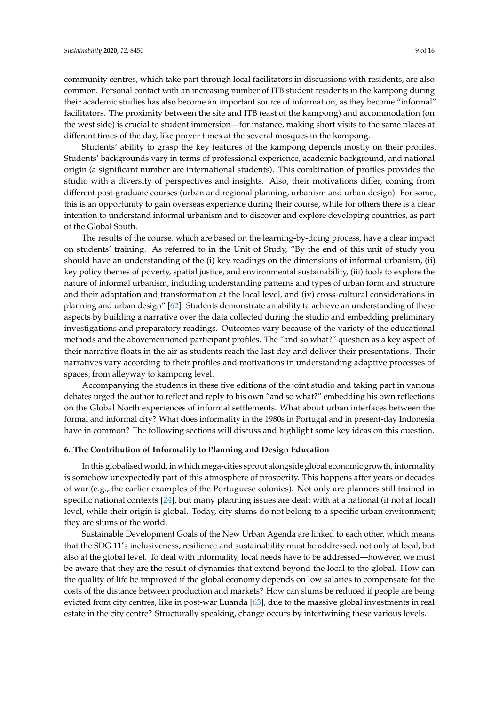community centres, which take part through local facilitators in discussions with residents, are also common. Personal contact with an increasing number of ITB student residents in the kampong during their academic studies has also become an important source of information, as they become "informal" facilitators. The proximity between the site and ITB (east of the kampong) and accommodation (on the west side) is crucial to student immersion—for instance, making short visits to the same places at different times of the day, like prayer times at the several mosques in the kampong.

Students' ability to grasp the key features of the kampong depends mostly on their profiles. Students' backgrounds vary in terms of professional experience, academic background, and national origin (a significant number are international students). This combination of profiles provides the studio with a diversity of perspectives and insights. Also, their motivations differ, coming from different post-graduate courses (urban and regional planning, urbanism and urban design). For some, this is an opportunity to gain overseas experience during their course, while for others there is a clear intention to understand informal urbanism and to discover and explore developing countries, as part of the Global South.

The results of the course, which are based on the learning-by-doing process, have a clear impact on students' training. As referred to in the Unit of Study, "By the end of this unit of study you should have an understanding of the (i) key readings on the dimensions of informal urbanism, (ii) key policy themes of poverty, spatial justice, and environmental sustainability, (iii) tools to explore the nature of informal urbanism, including understanding patterns and types of urban form and structure and their adaptation and transformation at the local level, and (iv) cross-cultural considerations in planning and urban design" [\[62\]](#page-14-22). Students demonstrate an ability to achieve an understanding of these aspects by building a narrative over the data collected during the studio and embedding preliminary investigations and preparatory readings. Outcomes vary because of the variety of the educational methods and the abovementioned participant profiles. The "and so what?" question as a key aspect of their narrative floats in the air as students reach the last day and deliver their presentations. Their narratives vary according to their profiles and motivations in understanding adaptive processes of spaces, from alleyway to kampong level.

Accompanying the students in these five editions of the joint studio and taking part in various debates urged the author to reflect and reply to his own "and so what?" embedding his own reflections on the Global North experiences of informal settlements. What about urban interfaces between the formal and informal city? What does informality in the 1980s in Portugal and in present-day Indonesia have in common? The following sections will discuss and highlight some key ideas on this question.

## **6. The Contribution of Informality to Planning and Design Education**

In this globalised world, in which mega-cities sprout alongside global economic growth, informality is somehow unexpectedly part of this atmosphere of prosperity. This happens after years or decades of war (e.g., the earlier examples of the Portuguese colonies). Not only are planners still trained in specific national contexts [\[24\]](#page-13-11), but many planning issues are dealt with at a national (if not at local) level, while their origin is global. Today, city slums do not belong to a specific urban environment; they are slums of the world.

Sustainable Development Goals of the New Urban Agenda are linked to each other, which means that the SDG 11's inclusiveness, resilience and sustainability must be addressed, not only at local, but also at the global level. To deal with informality, local needs have to be addressed—however, we must be aware that they are the result of dynamics that extend beyond the local to the global. How can the quality of life be improved if the global economy depends on low salaries to compensate for the costs of the distance between production and markets? How can slums be reduced if people are being evicted from city centres, like in post-war Luanda [\[63\]](#page-14-23), due to the massive global investments in real estate in the city centre? Structurally speaking, change occurs by intertwining these various levels.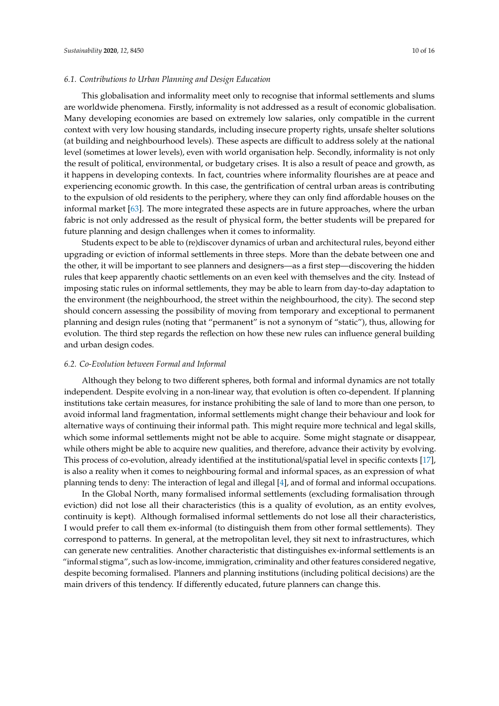## *6.1. Contributions to Urban Planning and Design Education*

This globalisation and informality meet only to recognise that informal settlements and slums are worldwide phenomena. Firstly, informality is not addressed as a result of economic globalisation. Many developing economies are based on extremely low salaries, only compatible in the current context with very low housing standards, including insecure property rights, unsafe shelter solutions (at building and neighbourhood levels). These aspects are difficult to address solely at the national level (sometimes at lower levels), even with world organisation help. Secondly, informality is not only the result of political, environmental, or budgetary crises. It is also a result of peace and growth, as it happens in developing contexts. In fact, countries where informality flourishes are at peace and experiencing economic growth. In this case, the gentrification of central urban areas is contributing to the expulsion of old residents to the periphery, where they can only find affordable houses on the informal market [\[63\]](#page-14-23). The more integrated these aspects are in future approaches, where the urban fabric is not only addressed as the result of physical form, the better students will be prepared for future planning and design challenges when it comes to informality.

Students expect to be able to (re)discover dynamics of urban and architectural rules, beyond either upgrading or eviction of informal settlements in three steps. More than the debate between one and the other, it will be important to see planners and designers—as a first step—discovering the hidden rules that keep apparently chaotic settlements on an even keel with themselves and the city. Instead of imposing static rules on informal settlements, they may be able to learn from day-to-day adaptation to the environment (the neighbourhood, the street within the neighbourhood, the city). The second step should concern assessing the possibility of moving from temporary and exceptional to permanent planning and design rules (noting that "permanent" is not a synonym of "static"), thus, allowing for evolution. The third step regards the reflection on how these new rules can influence general building and urban design codes.

#### *6.2. Co-Evolution between Formal and Informal*

Although they belong to two different spheres, both formal and informal dynamics are not totally independent. Despite evolving in a non-linear way, that evolution is often co-dependent. If planning institutions take certain measures, for instance prohibiting the sale of land to more than one person, to avoid informal land fragmentation, informal settlements might change their behaviour and look for alternative ways of continuing their informal path. This might require more technical and legal skills, which some informal settlements might not be able to acquire. Some might stagnate or disappear, while others might be able to acquire new qualities, and therefore, advance their activity by evolving. This process of co-evolution, already identified at the institutional/spatial level in specific contexts [\[17\]](#page-13-4), is also a reality when it comes to neighbouring formal and informal spaces, as an expression of what planning tends to deny: The interaction of legal and illegal [\[4\]](#page-12-3), and of formal and informal occupations.

In the Global North, many formalised informal settlements (excluding formalisation through eviction) did not lose all their characteristics (this is a quality of evolution, as an entity evolves, continuity is kept). Although formalised informal settlements do not lose all their characteristics, I would prefer to call them ex-informal (to distinguish them from other formal settlements). They correspond to patterns. In general, at the metropolitan level, they sit next to infrastructures, which can generate new centralities. Another characteristic that distinguishes ex-informal settlements is an "informal stigma", such as low-income, immigration, criminality and other features considered negative, despite becoming formalised. Planners and planning institutions (including political decisions) are the main drivers of this tendency. If differently educated, future planners can change this.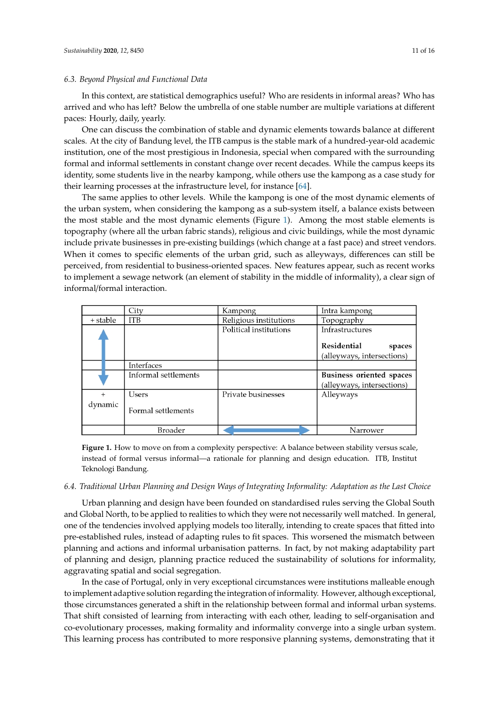# *6.3. Beyond Physical and Functional Data 6.3. Beyond Physical and Functional Data*

In this context, are statistical demographics useful? Who are residents in informal areas? Who has arrived and who has left? Below the umbrella of one stable number are multiple variations at different paces: Hourly, daily, yearly.

One can discuss the combination of stable and dynamic elements towards balance at different One can discuss the combination of stable and dynamic elements towards balance at different scales. At the city of Bandung level, the ITB campus is the stable mark of a hundred-year-old academic scales. At the city of Bandung level, the ITB campus is the stable mark of a hundred-year-old institution, one of the most prestigious in Indonesia, special when compared with the surrounding formal and informal settlements in constant change over recent decades. While the campus keeps its identity, some students live in the nearby kampong, while others use the kampong as a case study for their learning processes at the infrastructure level, for instance  $[64]$ .

The same applies to other levels. While the kampong is one of the most dynamic elements of The same applies to other levels. While the kampong is one of the most dynamic elements of the the urban system, when considering the kampong as a sub-system itself, a balance exists between urban system, when considering the kampong as a sub-system itself, a balance exists between the the most stable and the most dynamic elements (Figure 1[\).](#page-10-0) Among the most stable elements is topography (where all the urban fabric stands), religious and civic buildings, while the most dynamic topography (where all the urban fabric stands), religious and civic buildings, while the most dynamic include private businesses in pre-existing buildings (which change at a fast pace) and street vendors. include private businesses in pre-existing buildings (which change at a fast pace) and street vendors. When it comes to specific elements of the urban grid, such as alleyways, differences can still be When it comes to specific elements of the urban grid, such as alleyways, differences can still be perceived, from residential to business-oriented spaces. New features appear, such as recent works perceived, from residential to business-oriented spaces. New features appear, such as recent works to implement a sewage network (an element of stability in the middle of informality), a clear sign of to implement a sewage network (an element of stability in the middle of informality), a clear sign of informal/formal interaction. informal/formal interaction.

<span id="page-10-0"></span>

|                        | City                 | Kampong                | Intra kampong                                       |  |
|------------------------|----------------------|------------------------|-----------------------------------------------------|--|
| <b>ITB</b><br>+ stable |                      | Religious institutions | Topography                                          |  |
|                        |                      | Political institutions | Infrastructures                                     |  |
|                        |                      |                        | Residential<br>spaces<br>(alleyways, intersections) |  |
|                        | Interfaces           |                        |                                                     |  |
|                        | Informal settlements |                        | Business oriented spaces                            |  |
|                        |                      |                        | (alleyways, intersections)                          |  |
|                        | <b>Users</b>         | Private businesses     | Alleyways                                           |  |
| dynamic                | Formal settlements   |                        |                                                     |  |
|                        | <b>Broader</b>       |                        | Narrower                                            |  |

**Figure 1.** How to move on from a complexity perspective: A balance between stability versus scale, instead of formal versus informal—a rationale for planning and design education. ITB, Institut instead of formal versus informal—a rationale for planning and design education. ITB, Institut Teknologi Bandung. Teknologi Bandung. Figure 1. How to move on from a complexity perspective: A balance between stability versus scale,

#### *6.4. Traditional Urban Planning and Design Ways of Integrating Informality: Adaptation as the Last Choice*

*6.4. Traditional Urban Planning and Design Ways of Integrating Informality: Adaptation as the Last Choice* and Global North, to be applied to realities to which they were not necessarily well matched. In general, one of the tendencies involved applying models too literally, intending to create spaces that fitted into pre-established rules, instead of adapting rules to fit spaces. This worsened the mismatch between planning and actions and informal urbanisation patterns. In fact, by not making adaptability part of planning and design, planning practice reduced the sustainability of solutions for informality, aggravating spatial and social segregation.<br>
aggravating spatial and social segregation. Urban planning and design have been founded on standardised rules serving the Global South

In the case of Portugal, only in very exceptional circumstances were institutions malleable enough to implement adaptive solution regarding the integration of informality. However, although exceptional, those circumstances generated a shift in the relationship between formal and informal urban systems. That shift consisted of learning from interacting with each other, leading to self-organisation and co-evolutionary processes, making formality and informality converge into a single urban system. This learning process has contributed to more responsive planning systems, demonstrating that it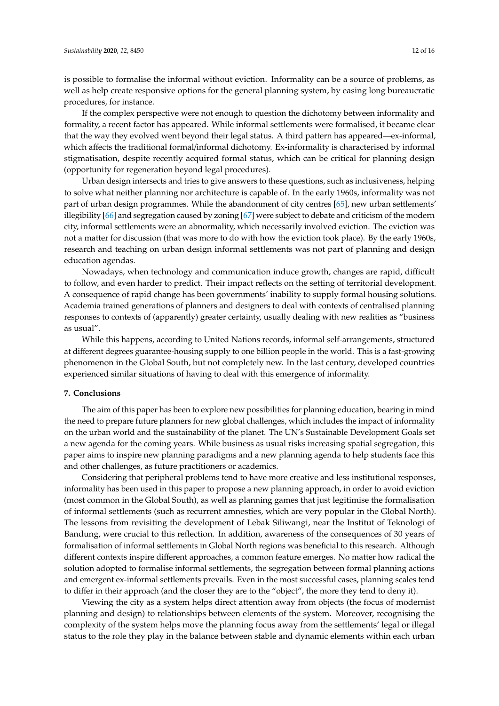is possible to formalise the informal without eviction. Informality can be a source of problems, as well as help create responsive options for the general planning system, by easing long bureaucratic procedures, for instance.

If the complex perspective were not enough to question the dichotomy between informality and formality, a recent factor has appeared. While informal settlements were formalised, it became clear that the way they evolved went beyond their legal status. A third pattern has appeared—ex-informal, which affects the traditional formal/informal dichotomy. Ex-informality is characterised by informal stigmatisation, despite recently acquired formal status, which can be critical for planning design (opportunity for regeneration beyond legal procedures).

Urban design intersects and tries to give answers to these questions, such as inclusiveness, helping to solve what neither planning nor architecture is capable of. In the early 1960s, informality was not part of urban design programmes. While the abandonment of city centres [\[65\]](#page-15-1), new urban settlements' illegibility [\[66\]](#page-15-2) and segregation caused by zoning [\[67\]](#page-15-3) were subject to debate and criticism of the modern city, informal settlements were an abnormality, which necessarily involved eviction. The eviction was not a matter for discussion (that was more to do with how the eviction took place). By the early 1960s, research and teaching on urban design informal settlements was not part of planning and design education agendas.

Nowadays, when technology and communication induce growth, changes are rapid, difficult to follow, and even harder to predict. Their impact reflects on the setting of territorial development. A consequence of rapid change has been governments' inability to supply formal housing solutions. Academia trained generations of planners and designers to deal with contexts of centralised planning responses to contexts of (apparently) greater certainty, usually dealing with new realities as "business as usual".

While this happens, according to United Nations records, informal self-arrangements, structured at different degrees guarantee-housing supply to one billion people in the world. This is a fast-growing phenomenon in the Global South, but not completely new. In the last century, developed countries experienced similar situations of having to deal with this emergence of informality.

#### **7. Conclusions**

The aim of this paper has been to explore new possibilities for planning education, bearing in mind the need to prepare future planners for new global challenges, which includes the impact of informality on the urban world and the sustainability of the planet. The UN's Sustainable Development Goals set a new agenda for the coming years. While business as usual risks increasing spatial segregation, this paper aims to inspire new planning paradigms and a new planning agenda to help students face this and other challenges, as future practitioners or academics.

Considering that peripheral problems tend to have more creative and less institutional responses, informality has been used in this paper to propose a new planning approach, in order to avoid eviction (most common in the Global South), as well as planning games that just legitimise the formalisation of informal settlements (such as recurrent amnesties, which are very popular in the Global North). The lessons from revisiting the development of Lebak Siliwangi, near the Institut of Teknologi of Bandung, were crucial to this reflection. In addition, awareness of the consequences of 30 years of formalisation of informal settlements in Global North regions was beneficial to this research. Although different contexts inspire different approaches, a common feature emerges. No matter how radical the solution adopted to formalise informal settlements, the segregation between formal planning actions and emergent ex-informal settlements prevails. Even in the most successful cases, planning scales tend to differ in their approach (and the closer they are to the "object", the more they tend to deny it).

Viewing the city as a system helps direct attention away from objects (the focus of modernist planning and design) to relationships between elements of the system. Moreover, recognising the complexity of the system helps move the planning focus away from the settlements' legal or illegal status to the role they play in the balance between stable and dynamic elements within each urban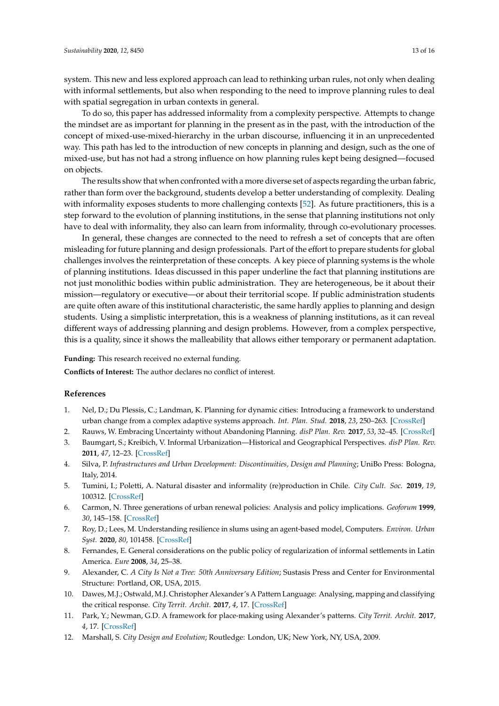system. This new and less explored approach can lead to rethinking urban rules, not only when dealing with informal settlements, but also when responding to the need to improve planning rules to deal with spatial segregation in urban contexts in general.

To do so, this paper has addressed informality from a complexity perspective. Attempts to change the mindset are as important for planning in the present as in the past, with the introduction of the concept of mixed-use-mixed-hierarchy in the urban discourse, influencing it in an unprecedented way. This path has led to the introduction of new concepts in planning and design, such as the one of mixed-use, but has not had a strong influence on how planning rules kept being designed—focused on objects.

The results show that when confronted with a more diverse set of aspects regarding the urban fabric, rather than form over the background, students develop a better understanding of complexity. Dealing with informality exposes students to more challenging contexts [\[52\]](#page-14-12). As future practitioners, this is a step forward to the evolution of planning institutions, in the sense that planning institutions not only have to deal with informality, they also can learn from informality, through co-evolutionary processes.

In general, these changes are connected to the need to refresh a set of concepts that are often misleading for future planning and design professionals. Part of the effort to prepare students for global challenges involves the reinterpretation of these concepts. A key piece of planning systems is the whole of planning institutions. Ideas discussed in this paper underline the fact that planning institutions are not just monolithic bodies within public administration. They are heterogeneous, be it about their mission—regulatory or executive—or about their territorial scope. If public administration students are quite often aware of this institutional characteristic, the same hardly applies to planning and design students. Using a simplistic interpretation, this is a weakness of planning institutions, as it can reveal different ways of addressing planning and design problems. However, from a complex perspective, this is a quality, since it shows the malleability that allows either temporary or permanent adaptation.

**Funding:** This research received no external funding.

**Conflicts of Interest:** The author declares no conflict of interest.

## **References**

- <span id="page-12-0"></span>1. Nel, D.; Du Plessis, C.; Landman, K. Planning for dynamic cities: Introducing a framework to understand urban change from a complex adaptive systems approach. *Int. Plan. Stud.* **2018**, *23*, 250–263. [\[CrossRef\]](http://dx.doi.org/10.1080/13563475.2018.1439370)
- <span id="page-12-1"></span>2. Rauws, W. Embracing Uncertainty without Abandoning Planning. *disP Plan. Rev.* **2017**, *53*, 32–45. [\[CrossRef\]](http://dx.doi.org/10.1080/02513625.2017.1316539)
- <span id="page-12-2"></span>3. Baumgart, S.; Kreibich, V. Informal Urbanization—Historical and Geographical Perspectives. *disP Plan. Rev.* **2011**, *47*, 12–23. [\[CrossRef\]](http://dx.doi.org/10.1080/02513625.2011.10654015)
- <span id="page-12-3"></span>4. Silva, P. *Infrastructures and Urban Development: Discontinuities, Design and Planning*; UniBo Press: Bologna, Italy, 2014.
- <span id="page-12-4"></span>5. Tumini, I.; Poletti, A. Natural disaster and informality (re)production in Chile. *City Cult. Soc.* **2019**, *19*, 100312. [\[CrossRef\]](http://dx.doi.org/10.1016/j.ccs.2019.100312)
- <span id="page-12-5"></span>6. Carmon, N. Three generations of urban renewal policies: Analysis and policy implications. *Geoforum* **1999**, *30*, 145–158. [\[CrossRef\]](http://dx.doi.org/10.1016/S0016-7185(99)00012-3)
- <span id="page-12-6"></span>7. Roy, D.; Lees, M. Understanding resilience in slums using an agent-based model, Computers. *Environ. Urban Syst.* **2020**, *80*, 101458. [\[CrossRef\]](http://dx.doi.org/10.1016/j.compenvurbsys.2019.101458)
- <span id="page-12-7"></span>8. Fernandes, E. General considerations on the public policy of regularization of informal settlements in Latin America. *Eure* **2008**, *34*, 25–38.
- <span id="page-12-8"></span>9. Alexander, C. *A City Is Not a Tree: 50th Anniversary Edition*; Sustasis Press and Center for Environmental Structure: Portland, OR, USA, 2015.
- <span id="page-12-9"></span>10. Dawes, M.J.; Ostwald, M.J. Christopher Alexander's A Pattern Language: Analysing, mapping and classifying the critical response. *City Territ. Archit.* **2017**, *4*, 17. [\[CrossRef\]](http://dx.doi.org/10.1186/s40410-017-0073-1)
- <span id="page-12-10"></span>11. Park, Y.; Newman, G.D. A framework for place-making using Alexander's patterns. *City Territ. Archit.* **2017**, *4*, 17. [\[CrossRef\]](http://dx.doi.org/10.1057/s41289-017-0040-1)
- <span id="page-12-11"></span>12. Marshall, S. *City Design and Evolution*; Routledge: London, UK; New York, NY, USA, 2009.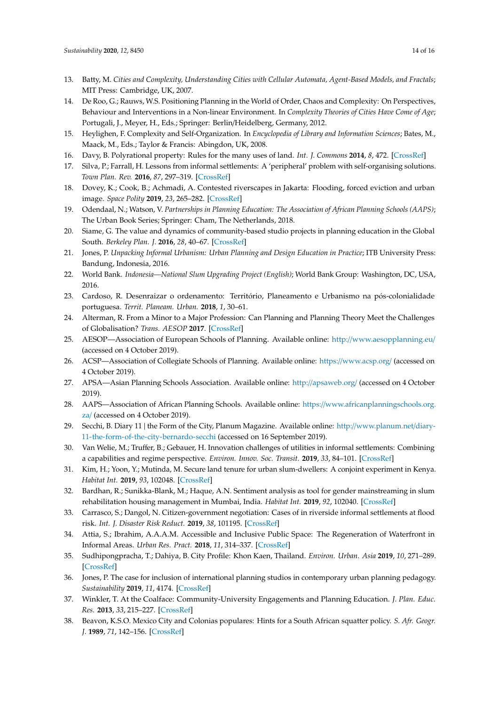- <span id="page-13-0"></span>13. Batty, M. *Cities and Complexity, Understanding Cities with Cellular Automata, Agent-Based Models, and Fractals*; MIT Press: Cambridge, UK, 2007.
- <span id="page-13-1"></span>14. De Roo, G.; Rauws, W.S. Positioning Planning in the World of Order, Chaos and Complexity: On Perspectives, Behaviour and Interventions in a Non-linear Environment. In *Complexity Theories of Cities Have Come of Age*; Portugali, J., Meyer, H., Eds.; Springer: Berlin/Heidelberg, Germany, 2012.
- <span id="page-13-2"></span>15. Heylighen, F. Complexity and Self-Organization. In *Encyclopedia of Library and Information Sciences*; Bates, M., Maack, M., Eds.; Taylor & Francis: Abingdon, UK, 2008.
- <span id="page-13-3"></span>16. Davy, B. Polyrational property: Rules for the many uses of land. *Int. J. Commons* **2014**, *8*, 472. [\[CrossRef\]](http://dx.doi.org/10.18352/ijc.455)
- <span id="page-13-4"></span>17. Silva, P.; Farrall, H. Lessons from informal settlements: A 'peripheral' problem with self-organising solutions. *Town Plan. Rev.* **2016**, *87*, 297–319. [\[CrossRef\]](http://dx.doi.org/10.3828/tpr.2016.21)
- <span id="page-13-5"></span>18. Dovey, K.; Cook, B.; Achmadi, A. Contested riverscapes in Jakarta: Flooding, forced eviction and urban image. *Space Polity* **2019**, *23*, 265–282. [\[CrossRef\]](http://dx.doi.org/10.1080/13562576.2019.1667764)
- <span id="page-13-6"></span>19. Odendaal, N.; Watson, V. *Partnerships in Planning Education: The Association of African Planning Schools (AAPS)*; The Urban Book Series; Springer: Cham, The Netherlands, 2018.
- <span id="page-13-7"></span>20. Siame, G. The value and dynamics of community-based studio projects in planning education in the Global South. *Berkeley Plan. J.* **2016**, *28*, 40–67. [\[CrossRef\]](http://dx.doi.org/10.5070/BP328133858)
- <span id="page-13-8"></span>21. Jones, P. *Unpacking Informal Urbanism: Urban Planning and Design Education in Practice*; ITB University Press: Bandung, Indonesia, 2016.
- <span id="page-13-9"></span>22. World Bank. *Indonesia—National Slum Upgrading Project (English)*; World Bank Group: Washington, DC, USA, 2016.
- <span id="page-13-10"></span>23. Cardoso, R. Desenraizar o ordenamento: Território, Planeamento e Urbanismo na pós-colonialidade portuguesa. *Territ. Planeam. Urban.* **2018**, *1*, 30–61.
- <span id="page-13-11"></span>24. Alterman, R. From a Minor to a Major Profession: Can Planning and Planning Theory Meet the Challenges of Globalisation? *Trans. AESOP* **2017**. [\[CrossRef\]](http://dx.doi.org/10.24306/TrAESOP.2017.01.001)
- <span id="page-13-12"></span>25. AESOP—Association of European Schools of Planning. Available online: http://[www.aesopplanning.eu](http://www.aesopplanning.eu/)/ (accessed on 4 October 2019).
- <span id="page-13-13"></span>26. ACSP—Association of Collegiate Schools of Planning. Available online: https://[www.acsp.org](https://www.acsp.org/)/ (accessed on 4 October 2019).
- <span id="page-13-14"></span>27. APSA—Asian Planning Schools Association. Available online: http://[apsaweb.org](http://apsaweb.org/)/ (accessed on 4 October 2019).
- <span id="page-13-15"></span>28. AAPS—Association of African Planning Schools. Available online: https://[www.africanplanningschools.org.](https://www.africanplanningschools.org.za/) [za](https://www.africanplanningschools.org.za/)/ (accessed on 4 October 2019).
- <span id="page-13-16"></span>29. Secchi, B. Diary 11 | the Form of the City, Planum Magazine. Available online: http://[www.planum.net](http://www.planum.net/diary-11-the-form-of-the-city-bernardo-secchi)/diary-[11-the-form-of-the-city-bernardo-secchi](http://www.planum.net/diary-11-the-form-of-the-city-bernardo-secchi) (accessed on 16 September 2019).
- <span id="page-13-17"></span>30. Van Welie, M.; Truffer, B.; Gebauer, H. Innovation challenges of utilities in informal settlements: Combining a capabilities and regime perspective. *Environ. Innov. Soc. Transit.* **2019**, *33*, 84–101. [\[CrossRef\]](http://dx.doi.org/10.1016/j.eist.2019.03.006)
- <span id="page-13-18"></span>31. Kim, H.; Yoon, Y.; Mutinda, M. Secure land tenure for urban slum-dwellers: A conjoint experiment in Kenya. *Habitat Int.* **2019**, *93*, 102048. [\[CrossRef\]](http://dx.doi.org/10.1016/j.habitatint.2019.102048)
- <span id="page-13-19"></span>32. Bardhan, R.; Sunikka-Blank, M.; Haque, A.N. Sentiment analysis as tool for gender mainstreaming in slum rehabilitation housing management in Mumbai, India. *Habitat Int.* **2019**, *92*, 102040. [\[CrossRef\]](http://dx.doi.org/10.1016/j.habitatint.2019.102040)
- <span id="page-13-20"></span>33. Carrasco, S.; Dangol, N. Citizen-government negotiation: Cases of in riverside informal settlements at flood risk. *Int. J. Disaster Risk Reduct.* **2019**, *38*, 101195. [\[CrossRef\]](http://dx.doi.org/10.1016/j.ijdrr.2019.101195)
- <span id="page-13-21"></span>34. Attia, S.; Ibrahim, A.A.A.M. Accessible and Inclusive Public Space: The Regeneration of Waterfront in Informal Areas. *Urban Res. Pract.* **2018**, *11*, 314–337. [\[CrossRef\]](http://dx.doi.org/10.1080/17535069.2017.1340509)
- <span id="page-13-22"></span>35. Sudhipongpracha, T.; Dahiya, B. City Profile: Khon Kaen, Thailand. *Environ. Urban. Asia* **2019**, *10*, 271–289. [\[CrossRef\]](http://dx.doi.org/10.1177/0975425319863931)
- <span id="page-13-23"></span>36. Jones, P. The case for inclusion of international planning studios in contemporary urban planning pedagogy. *Sustainability* **2019**, *11*, 4174. [\[CrossRef\]](http://dx.doi.org/10.3390/su11154174)
- <span id="page-13-24"></span>37. Winkler, T. At the Coalface: Community-University Engagements and Planning Education. *J. Plan. Educ. Res.* **2013**, *33*, 215–227. [\[CrossRef\]](http://dx.doi.org/10.1177/0739456X12474312)
- <span id="page-13-25"></span>38. Beavon, K.S.O. Mexico City and Colonias populares: Hints for a South African squatter policy. *S. Afr. Geogr. J.* **1989**, *71*, 142–156. [\[CrossRef\]](http://dx.doi.org/10.1080/03736245.1989.9713530)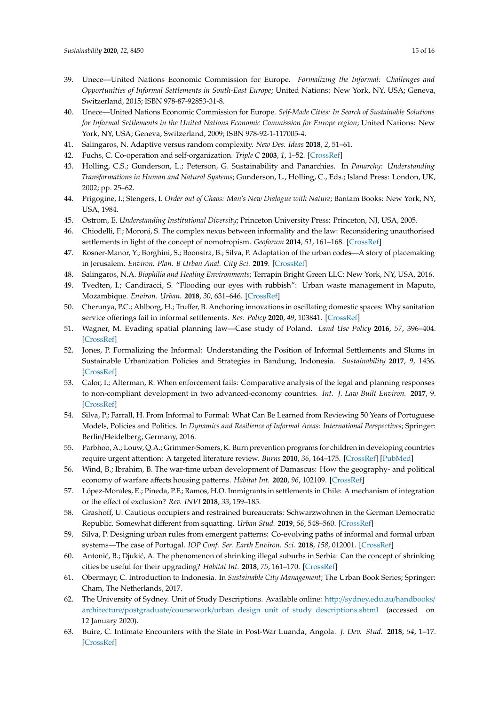- <span id="page-14-0"></span>39. Unece—United Nations Economic Commission for Europe. *Formalizing the Informal: Challenges and Opportunities of Informal Settlements in South-East Europe*; United Nations: New York, NY, USA; Geneva, Switzerland, 2015; ISBN 978-87-92853-31-8.
- <span id="page-14-1"></span>40. Unece—United Nations Economic Commission for Europe. *Self-Made Cities: In Search of Sustainable Solutions for Informal Settlements in the United Nations Economic Commission for Europe region*; United Nations: New York, NY, USA; Geneva, Switzerland, 2009; ISBN 978-92-1-117005-4.
- <span id="page-14-2"></span>41. Salingaros, N. Adaptive versus random complexity. *New Des. Ideas* **2018**, *2*, 51–61.
- <span id="page-14-3"></span>42. Fuchs, C. Co-operation and self-organization. *Triple C* **2003**, *1*, 1–52. [\[CrossRef\]](http://dx.doi.org/10.31269/triplec.v1i1.2)
- 43. Holling, C.S.; Gunderson, L.; Peterson, G. Sustainability and Panarchies. In *Panarchy: Understanding Transformations in Human and Natural Systems*; Gunderson, L., Holling, C., Eds.; Island Press: London, UK, 2002; pp. 25–62.
- <span id="page-14-4"></span>44. Prigogine, I.; Stengers, I. *Order out of Chaos: Man's New Dialogue with Nature*; Bantam Books: New York, NY, USA, 1984.
- <span id="page-14-5"></span>45. Ostrom, E. *Understanding Institutional Diversity*; Princeton University Press: Princeton, NJ, USA, 2005.
- <span id="page-14-6"></span>46. Chiodelli, F.; Moroni, S. The complex nexus between informality and the law: Reconsidering unauthorised settlements in light of the concept of nomotropism. *Geoforum* **2014**, *51*, 161–168. [\[CrossRef\]](http://dx.doi.org/10.1016/j.geoforum.2013.11.004)
- <span id="page-14-7"></span>47. Rosner-Manor, Y.; Borghini, S.; Boonstra, B.; Silva, P. Adaptation of the urban codes—A story of placemaking in Jerusalem. *Environ. Plan. B Urban Anal. City Sci.* **2019**. [\[CrossRef\]](http://dx.doi.org/10.1177/2399808319867712)
- <span id="page-14-8"></span>48. Salingaros, N.A. *Biophilia and Healing Environments*; Terrapin Bright Green LLC: New York, NY, USA, 2016.
- <span id="page-14-9"></span>49. Tvedten, I.; Candiracci, S. "Flooding our eyes with rubbish": Urban waste management in Maputo, Mozambique. *Environ. Urban.* **2018**, *30*, 631–646. [\[CrossRef\]](http://dx.doi.org/10.1177/0956247818780090)
- <span id="page-14-10"></span>50. Cherunya, P.C.; Ahlborg, H.; Truffer, B. Anchoring innovations in oscillating domestic spaces: Why sanitation service offerings fail in informal settlements. *Res. Policy* **2020**, *49*, 103841. [\[CrossRef\]](http://dx.doi.org/10.1016/j.respol.2019.103841)
- <span id="page-14-11"></span>51. Wagner, M. Evading spatial planning law—Case study of Poland. *Land Use Policy* **2016**, *57*, 396–404. [\[CrossRef\]](http://dx.doi.org/10.1016/j.landusepol.2016.06.005)
- <span id="page-14-12"></span>52. Jones, P. Formalizing the Informal: Understanding the Position of Informal Settlements and Slums in Sustainable Urbanization Policies and Strategies in Bandung, Indonesia. *Sustainability* **2017**, *9*, 1436. [\[CrossRef\]](http://dx.doi.org/10.3390/su9081436)
- <span id="page-14-13"></span>53. Calor, I.; Alterman, R. When enforcement fails: Comparative analysis of the legal and planning responses to non-compliant development in two advanced-economy countries. *Int. J. Law Built Environ.* **2017**, 9. [\[CrossRef\]](http://dx.doi.org/10.1108/IJLBE-06-2017-0021)
- <span id="page-14-14"></span>54. Silva, P.; Farrall, H. From Informal to Formal: What Can Be Learned from Reviewing 50 Years of Portuguese Models, Policies and Politics. In *Dynamics and Resilience of Informal Areas: International Perspectives*; Springer: Berlin/Heidelberg, Germany, 2016.
- <span id="page-14-15"></span>55. Parbhoo, A.; Louw, Q.A.; Grimmer-Somers, K. Burn prevention programs for children in developing countries require urgent attention: A targeted literature review. *Burns* **2010**, *36*, 164–175. [\[CrossRef\]](http://dx.doi.org/10.1016/j.burns.2009.06.215) [\[PubMed\]](http://www.ncbi.nlm.nih.gov/pubmed/19854000)
- <span id="page-14-16"></span>56. Wind, B.; Ibrahim, B. The war-time urban development of Damascus: How the geography- and political economy of warfare affects housing patterns. *Habitat Int.* **2020**, *96*, 102109. [\[CrossRef\]](http://dx.doi.org/10.1016/j.habitatint.2019.102109)
- <span id="page-14-17"></span>57. López-Morales, E.; Pineda, P.F.; Ramos, H.O. Immigrants in settlements in Chile: A mechanism of integration or the effect of exclusion? *Rev. INVI* **2018**, *33*, 159–185.
- <span id="page-14-18"></span>58. Grashoff, U. Cautious occupiers and restrained bureaucrats: Schwarzwohnen in the German Democratic Republic. Somewhat different from squatting. *Urban Stud.* **2019**, *56*, 548–560. [\[CrossRef\]](http://dx.doi.org/10.1177/0042098017734813)
- <span id="page-14-19"></span>59. Silva, P. Designing urban rules from emergent patterns: Co-evolving paths of informal and formal urban systems—The case of Portugal. *IOP Conf. Ser. Earth Environ. Sci.* **2018**, *158*, 012001. [\[CrossRef\]](http://dx.doi.org/10.1088/1755-1315/158/1/012001)
- <span id="page-14-20"></span>60. Antoni´c, B.; Djuki´c, A. The phenomenon of shrinking illegal suburbs in Serbia: Can the concept of shrinking cities be useful for their upgrading? *Habitat Int.* **2018**, *75*, 161–170. [\[CrossRef\]](http://dx.doi.org/10.1016/j.habitatint.2018.03.010)
- <span id="page-14-21"></span>61. Obermayr, C. Introduction to Indonesia. In *Sustainable City Management*; The Urban Book Series; Springer: Cham, The Netherlands, 2017.
- <span id="page-14-22"></span>62. The University of Sydney. Unit of Study Descriptions. Available online: http://[sydney.edu.au](http://sydney.edu.au/handbooks/architecture/postgraduate/coursework/urban_design_unit_of_study_descriptions.shtml)/handbooks/ architecture/postgraduate/coursework/[urban\\_design\\_unit\\_of\\_study\\_descriptions.shtml](http://sydney.edu.au/handbooks/architecture/postgraduate/coursework/urban_design_unit_of_study_descriptions.shtml) (accessed on 12 January 2020).
- <span id="page-14-23"></span>63. Buire, C. Intimate Encounters with the State in Post-War Luanda, Angola. *J. Dev. Stud.* **2018**, *54*, 1–17. [\[CrossRef\]](http://dx.doi.org/10.1080/00220388.2018.1460467)